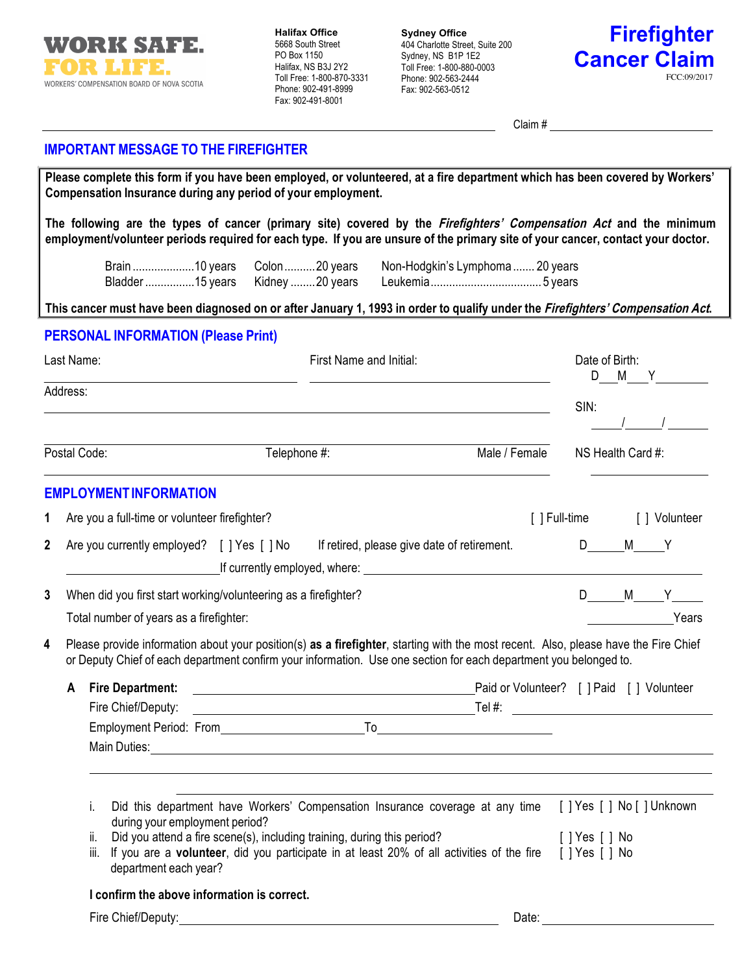

**Halifax Office** 5668 South Street PO Box 1150 Halifax, NS B3J 2Y2 Toll Free: 1-800-870-3331 Phone: 902-491-8999 Fax: 902-491-8001

**Sydney Office** 404 Charlotte Street, Suite 200 Sydney, NS B1P 1E2 Toll Free: 1-800-880-0003 Phone: 902-563-2444 Fax: 902-563-0512



Claim #

## **IMPORTANT MESSAGE TO THE FIREFIGHTER**

| Please complete this form if you have been employed, or volunteered, at a fire department which has been covered by Workers'<br>Compensation Insurance during any period of your employment. |                                                                                                                                                                                                                                                                                                                               |                  |                                                                                                                                                                                                                                                                                                                                                         |                                                                                                                                                  |                                                          |  |    |               |                                                                            |                |  |                |
|----------------------------------------------------------------------------------------------------------------------------------------------------------------------------------------------|-------------------------------------------------------------------------------------------------------------------------------------------------------------------------------------------------------------------------------------------------------------------------------------------------------------------------------|------------------|---------------------------------------------------------------------------------------------------------------------------------------------------------------------------------------------------------------------------------------------------------------------------------------------------------------------------------------------------------|--------------------------------------------------------------------------------------------------------------------------------------------------|----------------------------------------------------------|--|----|---------------|----------------------------------------------------------------------------|----------------|--|----------------|
|                                                                                                                                                                                              |                                                                                                                                                                                                                                                                                                                               |                  | The following are the types of cancer (primary site) covered by the <i>Firefighters' Compensation Act</i> and the minimum<br>employment/volunteer periods required for each type. If you are unsure of the primary site of your cancer, contact your doctor.                                                                                            |                                                                                                                                                  |                                                          |  |    |               |                                                                            |                |  |                |
|                                                                                                                                                                                              |                                                                                                                                                                                                                                                                                                                               |                  | Brain 10 years Colon 20 years Non-Hodgkin's Lymphoma  20 years                                                                                                                                                                                                                                                                                          |                                                                                                                                                  |                                                          |  |    |               |                                                                            |                |  |                |
|                                                                                                                                                                                              |                                                                                                                                                                                                                                                                                                                               |                  | This cancer must have been diagnosed on or after January 1, 1993 in order to qualify under the Firefighters' Compensation Act.                                                                                                                                                                                                                          |                                                                                                                                                  |                                                          |  |    |               |                                                                            |                |  |                |
|                                                                                                                                                                                              |                                                                                                                                                                                                                                                                                                                               |                  | <b>PERSONAL INFORMATION (Please Print)</b>                                                                                                                                                                                                                                                                                                              |                                                                                                                                                  |                                                          |  |    |               |                                                                            |                |  |                |
| Last Name:<br>Address:                                                                                                                                                                       |                                                                                                                                                                                                                                                                                                                               |                  |                                                                                                                                                                                                                                                                                                                                                         | First Name and Initial:<br><u> 1989 - Johann Barbara, martin amerikan basal dan berasal dan berasal dalam basal dalam basal dalam basal dala</u> |                                                          |  |    |               | Date of Birth:<br>D M Y                                                    |                |  |                |
|                                                                                                                                                                                              |                                                                                                                                                                                                                                                                                                                               |                  |                                                                                                                                                                                                                                                                                                                                                         |                                                                                                                                                  |                                                          |  |    |               | SIN:                                                                       |                |  |                |
| Postal Code:                                                                                                                                                                                 |                                                                                                                                                                                                                                                                                                                               |                  |                                                                                                                                                                                                                                                                                                                                                         | Telephone #:                                                                                                                                     |                                                          |  |    | Male / Female | NS Health Card #:                                                          |                |  |                |
|                                                                                                                                                                                              |                                                                                                                                                                                                                                                                                                                               |                  | <b>EMPLOYMENT INFORMATION</b>                                                                                                                                                                                                                                                                                                                           |                                                                                                                                                  |                                                          |  |    |               |                                                                            |                |  |                |
| 1                                                                                                                                                                                            | Are you a full-time or volunteer firefighter?                                                                                                                                                                                                                                                                                 |                  |                                                                                                                                                                                                                                                                                                                                                         |                                                                                                                                                  |                                                          |  |    |               | [] Full-time [] Volunteer                                                  |                |  |                |
| $\mathbf 2$                                                                                                                                                                                  | Are you currently employed? [ ] Yes [ ] No If retired, please give date of retirement.<br>If currently employed, where: <u>contained and a series of containing</u> and contained a series of containing and contained a series of containing and contained a series of containing and contained a series of containing and c |                  |                                                                                                                                                                                                                                                                                                                                                         |                                                                                                                                                  |                                                          |  |    |               | $D$ $M$ $Y$                                                                |                |  |                |
| 3                                                                                                                                                                                            |                                                                                                                                                                                                                                                                                                                               |                  | When did you first start working/volunteering as a firefighter?<br>Total number of years as a firefighter:                                                                                                                                                                                                                                              |                                                                                                                                                  |                                                          |  |    |               |                                                                            |                |  | D M Y<br>Years |
| 4                                                                                                                                                                                            |                                                                                                                                                                                                                                                                                                                               |                  | Please provide information about your position(s) as a firefighter, starting with the most recent. Also, please have the Fire Chief<br>or Deputy Chief of each department confirm your information. Use one section for each department you belonged to.                                                                                                |                                                                                                                                                  |                                                          |  |    |               |                                                                            |                |  |                |
|                                                                                                                                                                                              | A                                                                                                                                                                                                                                                                                                                             |                  | <b>Fire Department:</b><br>Fire Chief/Deputy:<br>Employment Period: From<br>Main Duties:                                                                                                                                                                                                                                                                |                                                                                                                                                  | <u> 1980 - Johann Barbara, martxa amerikan bashkar (</u> |  | To |               | Paid or Volunteer? [ ] Paid [ ] Volunteer<br>Tel #: $\qquad \qquad \qquad$ |                |  |                |
|                                                                                                                                                                                              |                                                                                                                                                                                                                                                                                                                               | i.<br>Ⅱ.<br>iii. | Did this department have Workers' Compensation Insurance coverage at any time [] Yes [] No [] Unknown<br>during your employment period?<br>Did you attend a fire scene(s), including training, during this period?<br>If you are a volunteer, did you participate in at least 20% of all activities of the fire [ ] Yes [ ] No<br>department each year? |                                                                                                                                                  |                                                          |  |    |               |                                                                            | [ ] Yes [ ] No |  |                |
|                                                                                                                                                                                              |                                                                                                                                                                                                                                                                                                                               |                  | I confirm the above information is correct.                                                                                                                                                                                                                                                                                                             |                                                                                                                                                  |                                                          |  |    |               |                                                                            |                |  |                |
|                                                                                                                                                                                              |                                                                                                                                                                                                                                                                                                                               |                  | Fire Chief/Deputy:                                                                                                                                                                                                                                                                                                                                      |                                                                                                                                                  | <u> 1980 - Johann Stein, mars an de Britannia (b. 19</u> |  |    |               | Date:                                                                      |                |  |                |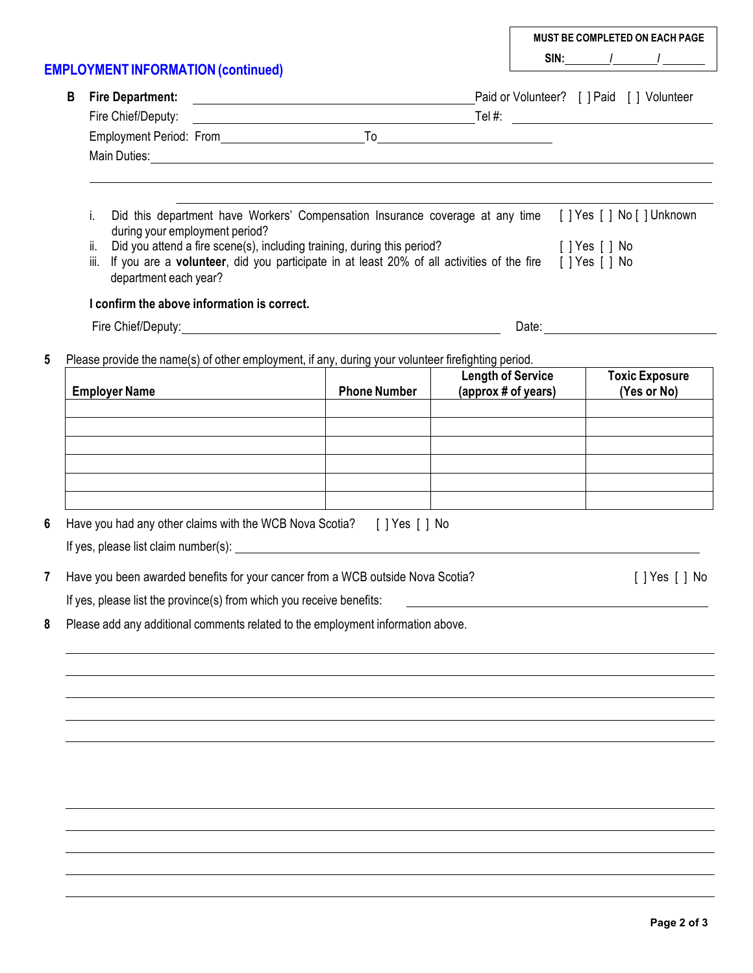**EMPLOYMENT INFORMATION (continued) MUST BE COMPLETED ON EACH PAGE SIN: / / B Fire Department:** Paid or Volunteer? [ ] Paid [ ] Volunteer Fire Chief/Deputy: Tel #: Employment Period: From To To Main Duties: i. Did this department have Workers' Compensation Insurance coverage at any time [ ] Yes [ ] No [ ] Unknown during your employment period? ii. Did you attend a fire scene(s), including training, during this period? [ ] Yes [ ] No iii. If you are a **volunteer**, did you participate in at least 20% of all activities of the fire [ ] Yes [ ] No department each year? **I confirm the above information is correct.** Fire Chief/Deputy: Date: **5** Please provide the name(s) of other employment, if any, during your volunteer firefighting period. **Employer Name Phone Phone Number Length of Service (approx # of years) Toxic Exposure (Yes or No) 6** Have you had any other claims with the WCB Nova Scotia? [ ] Yes [ ] No If yes, please list claim number(s): **7** Have you been awarded benefits for your cancer from a WCB outside Nova Scotia? **[ ]** Yes [ ] No If yes, please list the province(s) from which you receive benefits: **8** Please add any additional comments related to the employment information above.